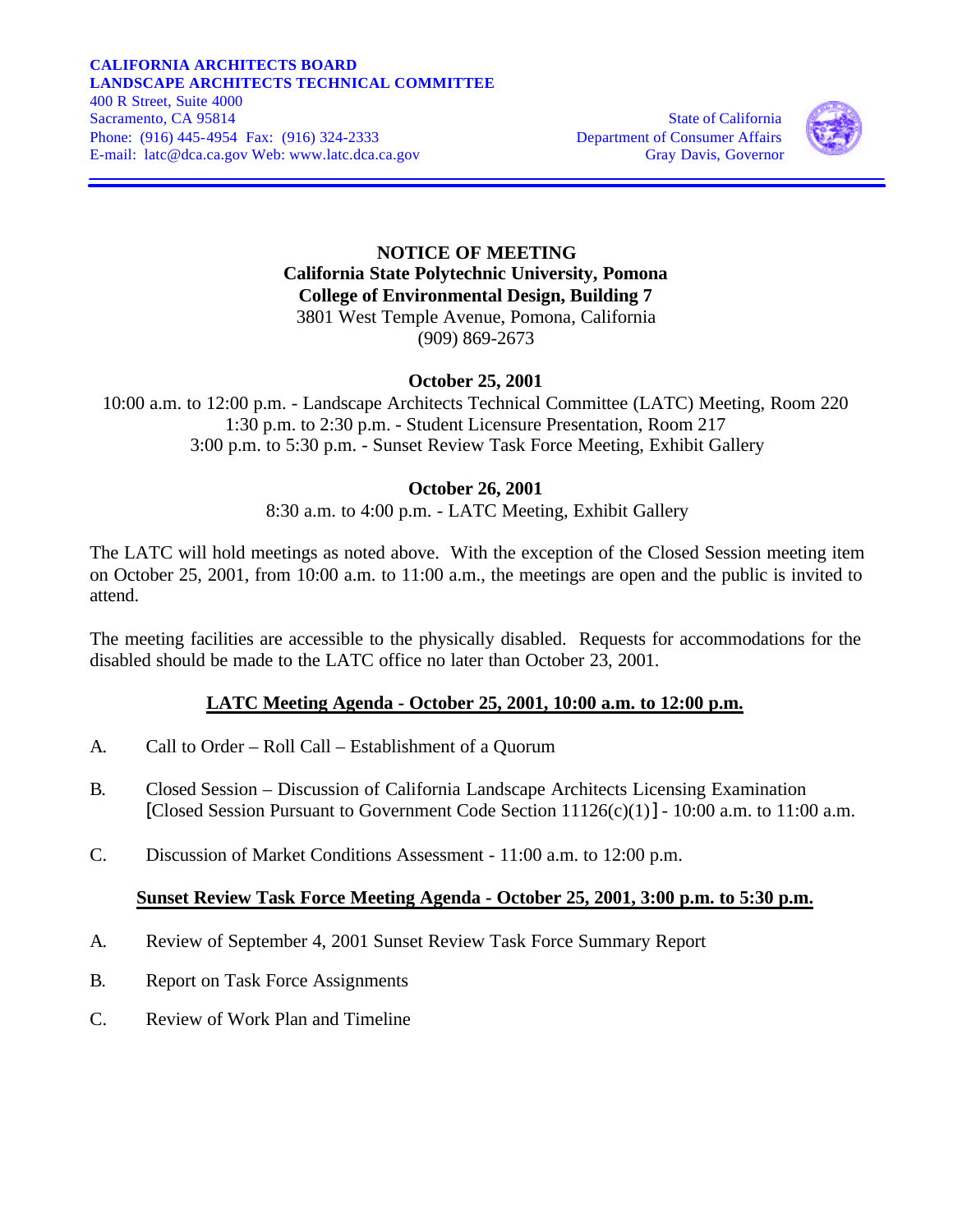#### **CALIFORNIA ARCHITECTS BOARD LANDSCAPE ARCHITECTS TECHNICAL COMMITTEE**  400 R Street, Suite 4000 Sacramento, CA 95814 State of California Phone: (916) 445-4954 Fax: (916) 324-2333 Department of Consumer Affairs

E-mail: latc@dca.ca.gov Web: www.latc.dca.ca.gov Gray Davis, Governor



### **NOTICE OF MEETING California State Polytechnic University, Pomona College of Environmental Design, Building 7** 3801 West Temple Avenue, Pomona, California

(909) 869-2673

# **October 25, 2001**

10:00 a.m. to 12:00 p.m. - Landscape Architects Technical Committee (LATC) Meeting, Room 220 1:30 p.m. to 2:30 p.m. - Student Licensure Presentation, Room 217 3:00 p.m. to 5:30 p.m. - Sunset Review Task Force Meeting, Exhibit Gallery

## **October 26, 2001**

8:30 a.m. to 4:00 p.m. - LATC Meeting, Exhibit Gallery

The LATC will hold meetings as noted above. With the exception of the Closed Session meeting item on October 25, 2001, from 10:00 a.m. to 11:00 a.m., the meetings are open and the public is invited to attend.

The meeting facilities are accessible to the physically disabled. Requests for accommodations for the disabled should be made to the LATC office no later than October 23, 2001.

# **LATC Meeting Agenda - October 25, 2001, 10:00 a.m. to 12:00 p.m.**

- A. Call to Order Roll Call Establishment of a Quorum
- B. Closed Session Discussion of California Landscape Architects Licensing Examination [Closed Session Pursuant to Government Code Section  $11126(c)(1)$ ] - 10:00 a.m. to 11:00 a.m.
- C. Discussion of Market Conditions Assessment 11:00 a.m. to 12:00 p.m.

### **Sunset Review Task Force Meeting Agenda - October 25, 2001, 3:00 p.m. to 5:30 p.m.**

- A. Review of September 4, 2001 Sunset Review Task Force Summary Report
- B. Report on Task Force Assignments
- C. Review of Work Plan and Timeline